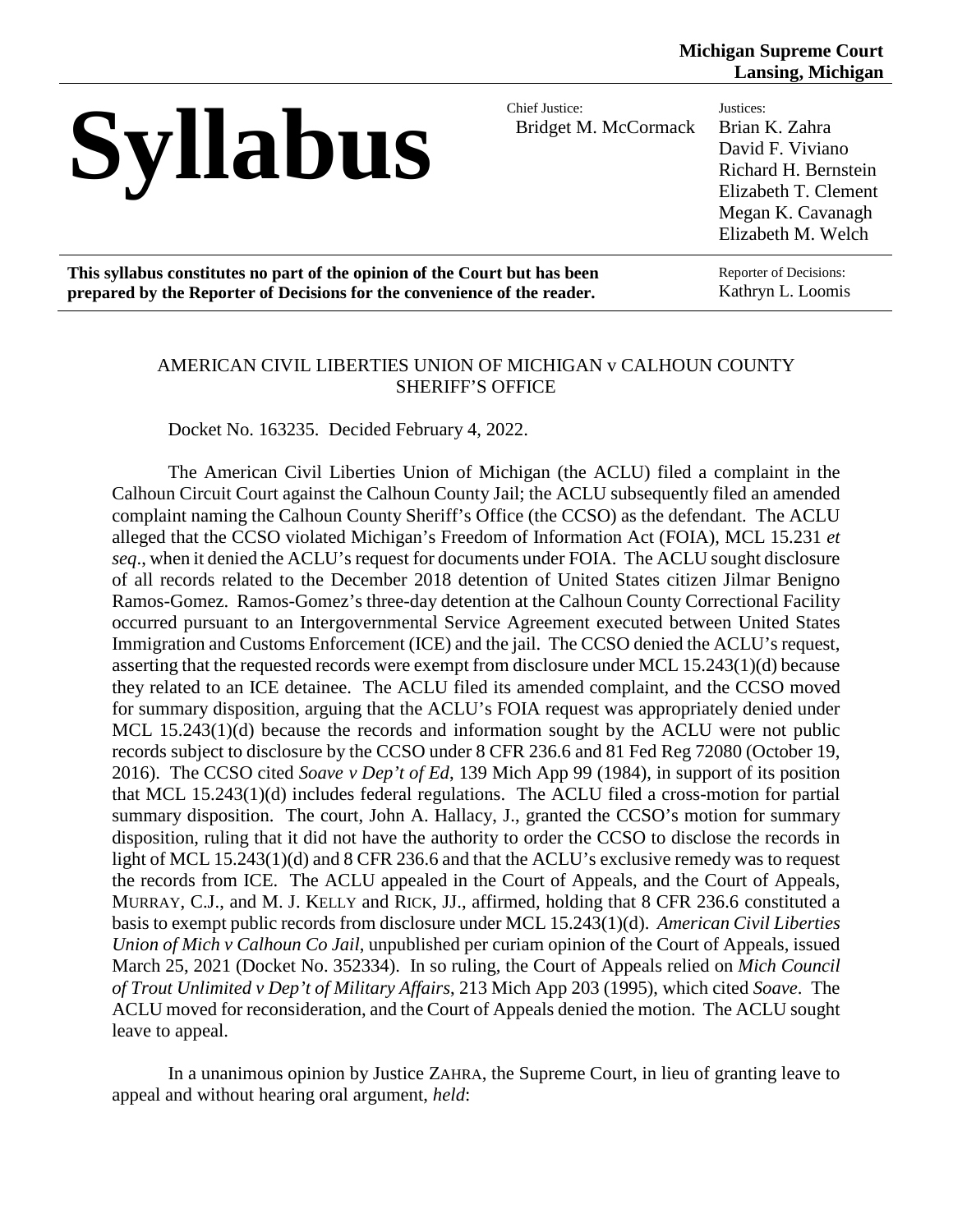| <b>Syllabus</b>                                                            | Chief Justice:<br>Bridget M. McCormack | Justices:<br>Brian K. Zahra<br>David F. Viviano<br>Richard H. Bernstein<br>Elizabeth T. Clement<br>Megan K. Cavanagh<br>Elizabeth M. Welch |
|----------------------------------------------------------------------------|----------------------------------------|--------------------------------------------------------------------------------------------------------------------------------------------|
| This syllabus constitutes no part of the opinion of the Court but has been |                                        | Reporter of Decisions:                                                                                                                     |
| prepared by the Reporter of Decisions for the convenience of the reader.   |                                        | Kathryn L. Loomis                                                                                                                          |

#### AMERICAN CIVIL LIBERTIES UNION OF MICHIGAN v CALHOUN COUNTY SHERIFF'S OFFICE

Docket No. 163235. Decided February 4, 2022.

The American Civil Liberties Union of Michigan (the ACLU) filed a complaint in the Calhoun Circuit Court against the Calhoun County Jail; the ACLU subsequently filed an amended complaint naming the Calhoun County Sheriff's Office (the CCSO) as the defendant. The ACLU alleged that the CCSO violated Michigan's Freedom of Information Act (FOIA), MCL 15.231 *et seq*., when it denied the ACLU's request for documents under FOIA. The ACLU sought disclosure of all records related to the December 2018 detention of United States citizen Jilmar Benigno Ramos-Gomez. Ramos-Gomez's three-day detention at the Calhoun County Correctional Facility occurred pursuant to an Intergovernmental Service Agreement executed between United States Immigration and Customs Enforcement (ICE) and the jail. The CCSO denied the ACLU's request, asserting that the requested records were exempt from disclosure under MCL 15.243(1)(d) because they related to an ICE detainee. The ACLU filed its amended complaint, and the CCSO moved for summary disposition, arguing that the ACLU's FOIA request was appropriately denied under MCL 15.243(1)(d) because the records and information sought by the ACLU were not public records subject to disclosure by the CCSO under 8 CFR 236.6 and 81 Fed Reg 72080 (October 19, 2016). The CCSO cited *Soave v Dep't of Ed*, 139 Mich App 99 (1984), in support of its position that MCL 15.243(1)(d) includes federal regulations. The ACLU filed a cross-motion for partial summary disposition. The court, John A. Hallacy, J., granted the CCSO's motion for summary disposition, ruling that it did not have the authority to order the CCSO to disclose the records in light of MCL 15.243(1)(d) and 8 CFR 236.6 and that the ACLU's exclusive remedy was to request the records from ICE. The ACLU appealed in the Court of Appeals, and the Court of Appeals, MURRAY, C.J., and M. J. KELLY and RICK, JJ., affirmed, holding that 8 CFR 236.6 constituted a basis to exempt public records from disclosure under MCL 15.243(1)(d). *American Civil Liberties Union of Mich v Calhoun Co Jail*, unpublished per curiam opinion of the Court of Appeals, issued March 25, 2021 (Docket No. 352334). In so ruling, the Court of Appeals relied on *Mich Council of Trout Unlimited v Dep't of Military Affairs*, 213 Mich App 203 (1995), which cited *Soave*. The ACLU moved for reconsideration, and the Court of Appeals denied the motion. The ACLU sought leave to appeal.

In a unanimous opinion by Justice ZAHRA, the Supreme Court, in lieu of granting leave to appeal and without hearing oral argument, *held*: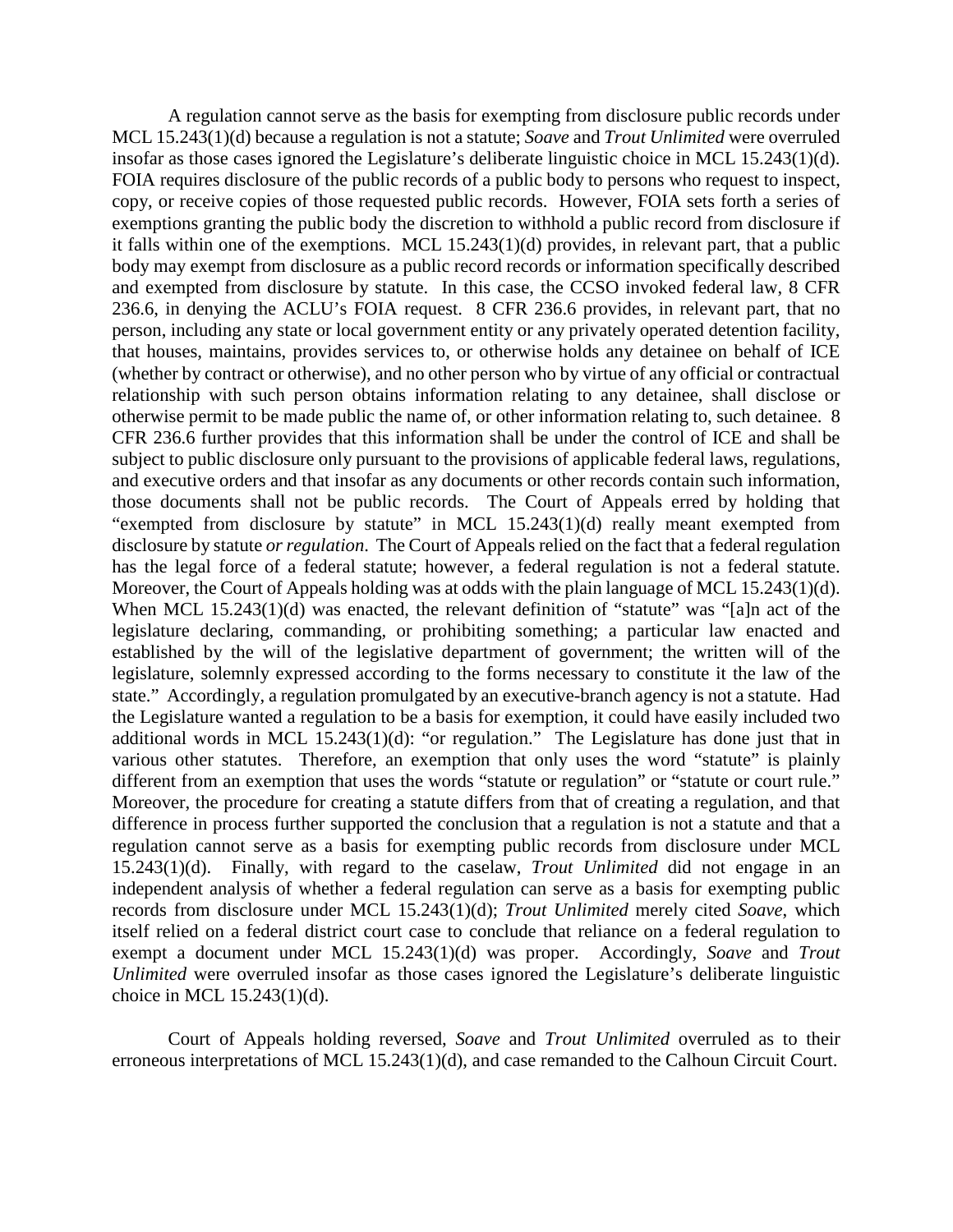A regulation cannot serve as the basis for exempting from disclosure public records under MCL 15.243(1)(d) because a regulation is not a statute; *Soave* and *Trout Unlimited* were overruled insofar as those cases ignored the Legislature's deliberate linguistic choice in MCL 15.243(1)(d). FOIA requires disclosure of the public records of a public body to persons who request to inspect, copy, or receive copies of those requested public records. However, FOIA sets forth a series of exemptions granting the public body the discretion to withhold a public record from disclosure if it falls within one of the exemptions. MCL 15.243(1)(d) provides, in relevant part, that a public body may exempt from disclosure as a public record records or information specifically described and exempted from disclosure by statute. In this case, the CCSO invoked federal law, 8 CFR 236.6, in denying the ACLU's FOIA request. 8 CFR 236.6 provides, in relevant part, that no person, including any state or local government entity or any privately operated detention facility, that houses, maintains, provides services to, or otherwise holds any detainee on behalf of ICE (whether by contract or otherwise), and no other person who by virtue of any official or contractual relationship with such person obtains information relating to any detainee, shall disclose or otherwise permit to be made public the name of, or other information relating to, such detainee. 8 CFR 236.6 further provides that this information shall be under the control of ICE and shall be subject to public disclosure only pursuant to the provisions of applicable federal laws, regulations, and executive orders and that insofar as any documents or other records contain such information, those documents shall not be public records. The Court of Appeals erred by holding that "exempted from disclosure by statute" in MCL 15.243(1)(d) really meant exempted from disclosure by statute *or regulation*. The Court of Appeals relied on the fact that a federal regulation has the legal force of a federal statute; however, a federal regulation is not a federal statute. Moreover, the Court of Appeals holding was at odds with the plain language of MCL 15.243(1)(d). When MCL 15.243(1)(d) was enacted, the relevant definition of "statute" was "[a]n act of the legislature declaring, commanding, or prohibiting something; a particular law enacted and established by the will of the legislative department of government; the written will of the legislature, solemnly expressed according to the forms necessary to constitute it the law of the state." Accordingly, a regulation promulgated by an executive-branch agency is not a statute. Had the Legislature wanted a regulation to be a basis for exemption, it could have easily included two additional words in MCL 15.243(1)(d): "or regulation." The Legislature has done just that in various other statutes. Therefore, an exemption that only uses the word "statute" is plainly different from an exemption that uses the words "statute or regulation" or "statute or court rule." Moreover, the procedure for creating a statute differs from that of creating a regulation, and that difference in process further supported the conclusion that a regulation is not a statute and that a regulation cannot serve as a basis for exempting public records from disclosure under MCL 15.243(1)(d). Finally, with regard to the caselaw, *Trout Unlimited* did not engage in an independent analysis of whether a federal regulation can serve as a basis for exempting public records from disclosure under MCL 15.243(1)(d); *Trout Unlimited* merely cited *Soave*, which itself relied on a federal district court case to conclude that reliance on a federal regulation to exempt a document under MCL 15.243(1)(d) was proper. Accordingly, *Soave* and *Trout Unlimited* were overruled insofar as those cases ignored the Legislature's deliberate linguistic choice in MCL 15.243(1)(d).

Court of Appeals holding reversed, *Soave* and *Trout Unlimited* overruled as to their erroneous interpretations of MCL 15.243(1)(d), and case remanded to the Calhoun Circuit Court.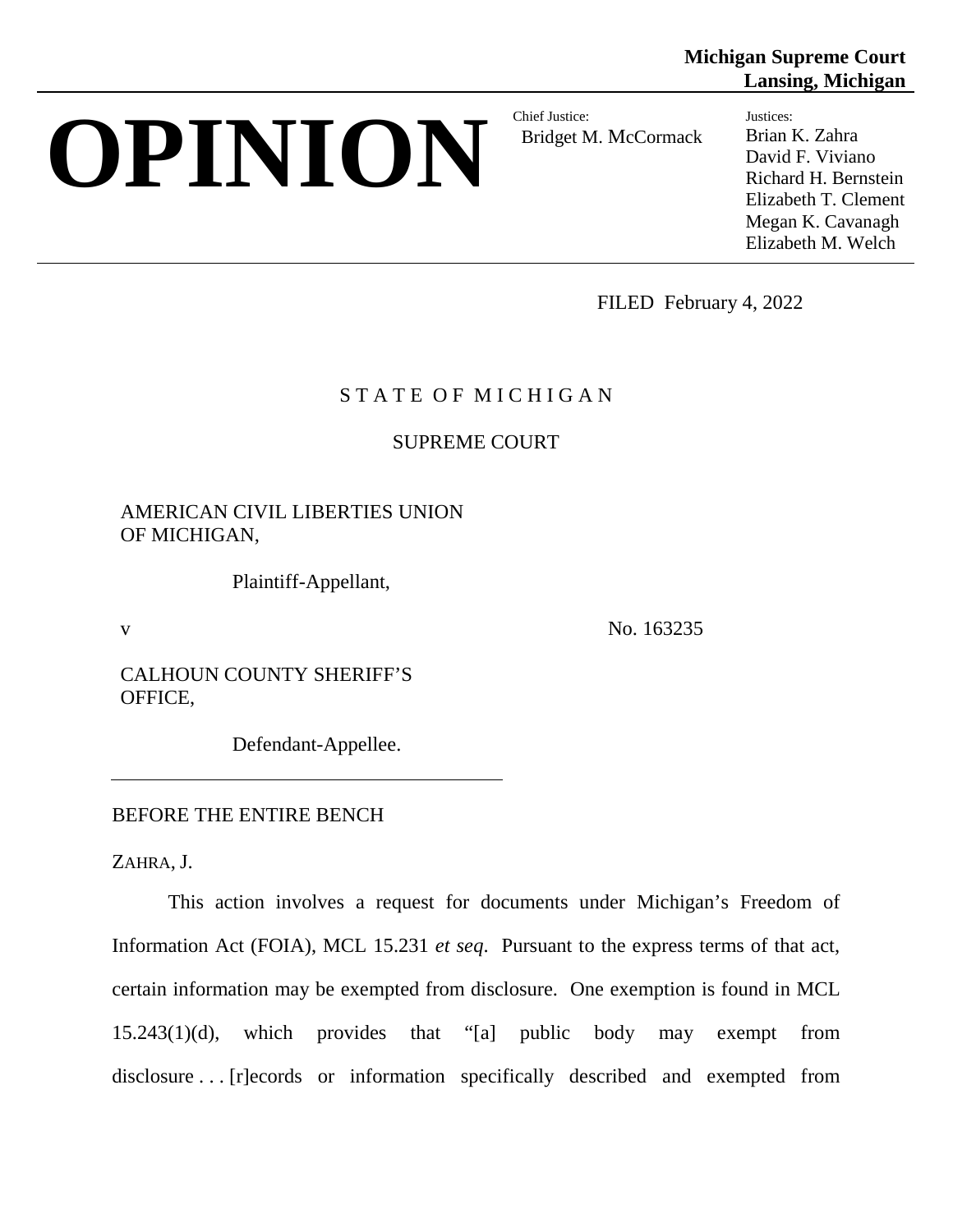# **OPINION** Chief Justice:

Bridget M. McCormack

**Lansing, Michigan** Justices: Brian K. Zahra

**Michigan Supreme Court**

David F. Viviano Richard H. Bernstein Elizabeth T. Clement Megan K. Cavanagh Elizabeth M. Welch

FILED February 4, 2022

# STATE OF MICHIGAN

SUPREME COURT

AMERICAN CIVIL LIBERTIES UNION OF MICHIGAN,

Plaintiff-Appellant,

v No. 163235

CALHOUN COUNTY SHERIFF'S OFFICE,

Defendant-Appellee.

## BEFORE THE ENTIRE BENCH

ZAHRA, J.

This action involves a request for documents under Michigan's Freedom of Information Act (FOIA), MCL 15.231 *et seq*. Pursuant to the express terms of that act, certain information may be exempted from disclosure. One exemption is found in MCL 15.243(1)(d), which provides that "[a] public body may exempt from disclosure . . . [r]ecords or information specifically described and exempted from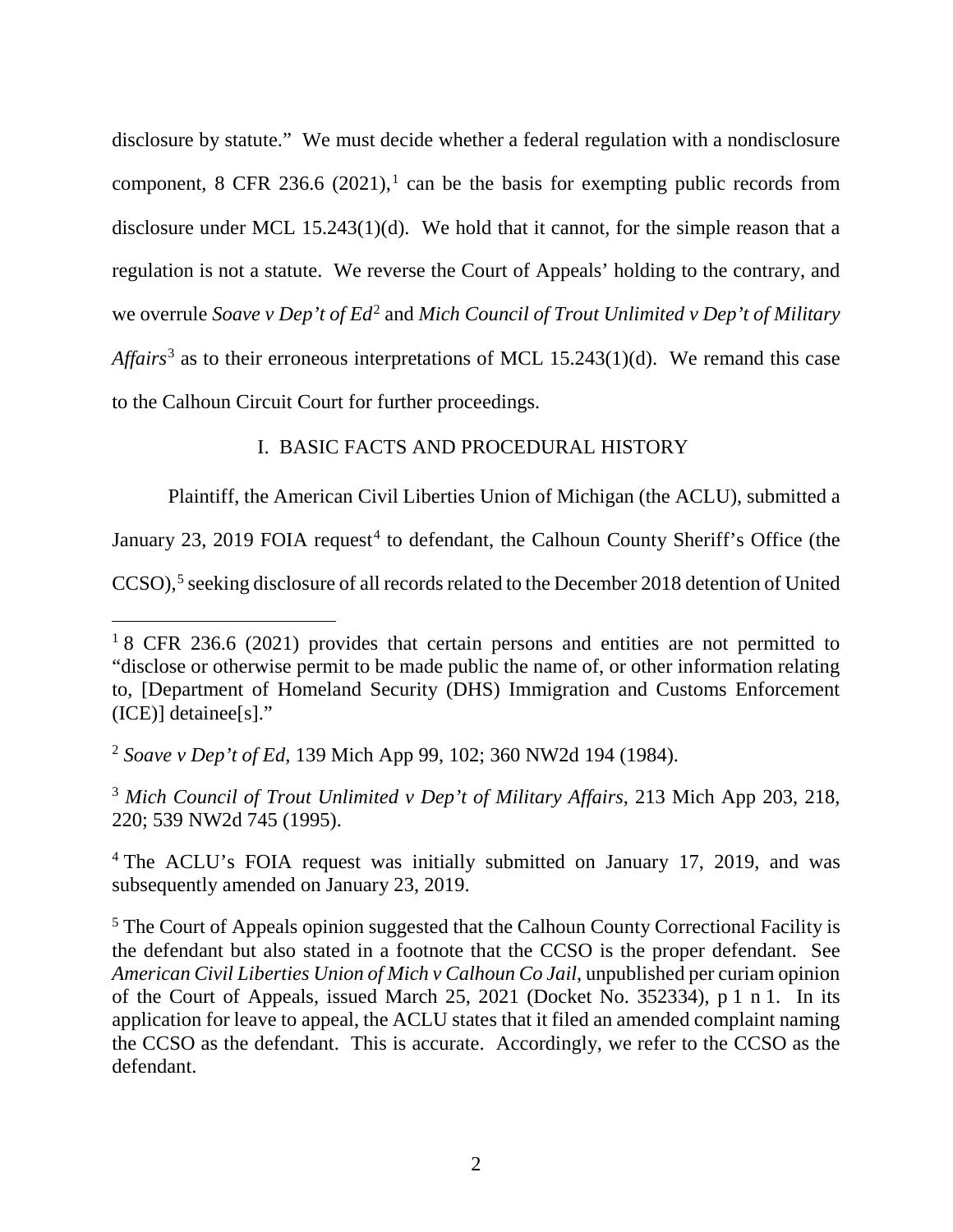disclosure by statute." We must decide whether a federal regulation with a nondisclosure component, 8 CFR 236.6  $(2021)$  $(2021)$  $(2021)$ ,<sup>1</sup> can be the basis for exempting public records from disclosure under MCL 15.243(1)(d). We hold that it cannot, for the simple reason that a regulation is not a statute. We reverse the Court of Appeals' holding to the contrary, and we overrule *Soave v Dep't of Ed*<sup>[2](#page-3-1)</sup> and *Mich Council of Trout Unlimited v Dep't of Military Affairs*[3](#page-3-2) as to their erroneous interpretations of MCL 15.243(1)(d). We remand this case to the Calhoun Circuit Court for further proceedings.

## I. BASIC FACTS AND PROCEDURAL HISTORY

Plaintiff, the American Civil Liberties Union of Michigan (the ACLU), submitted a January 23, 2019 FOIA request<sup>[4](#page-3-3)</sup> to defendant, the Calhoun County Sheriff's Office (the CCSO),<sup>[5](#page-3-4)</sup> seeking disclosure of all records related to the December 2018 detention of United

<span id="page-3-0"></span><sup>&</sup>lt;sup>1</sup>8 CFR 236.6 (2021) provides that certain persons and entities are not permitted to "disclose or otherwise permit to be made public the name of, or other information relating to, [Department of Homeland Security (DHS) Immigration and Customs Enforcement (ICE)] detainee[s]."

<span id="page-3-1"></span><sup>2</sup> *Soave v Dep't of Ed*, 139 Mich App 99, 102; 360 NW2d 194 (1984).

<span id="page-3-2"></span><sup>3</sup> *Mich Council of Trout Unlimited v Dep't of Military Affairs*, 213 Mich App 203, 218, 220; 539 NW2d 745 (1995).

<span id="page-3-3"></span><sup>&</sup>lt;sup>4</sup> The ACLU's FOIA request was initially submitted on January 17, 2019, and was subsequently amended on January 23, 2019.

<span id="page-3-4"></span> $<sup>5</sup>$  The Court of Appeals opinion suggested that the Calhoun County Correctional Facility is</sup> the defendant but also stated in a footnote that the CCSO is the proper defendant. See *American Civil Liberties Union of Mich v Calhoun Co Jail*, unpublished per curiam opinion of the Court of Appeals, issued March 25, 2021 (Docket No. 352334), p 1 n 1. In its application for leave to appeal, the ACLU states that it filed an amended complaint naming the CCSO as the defendant. This is accurate. Accordingly, we refer to the CCSO as the defendant.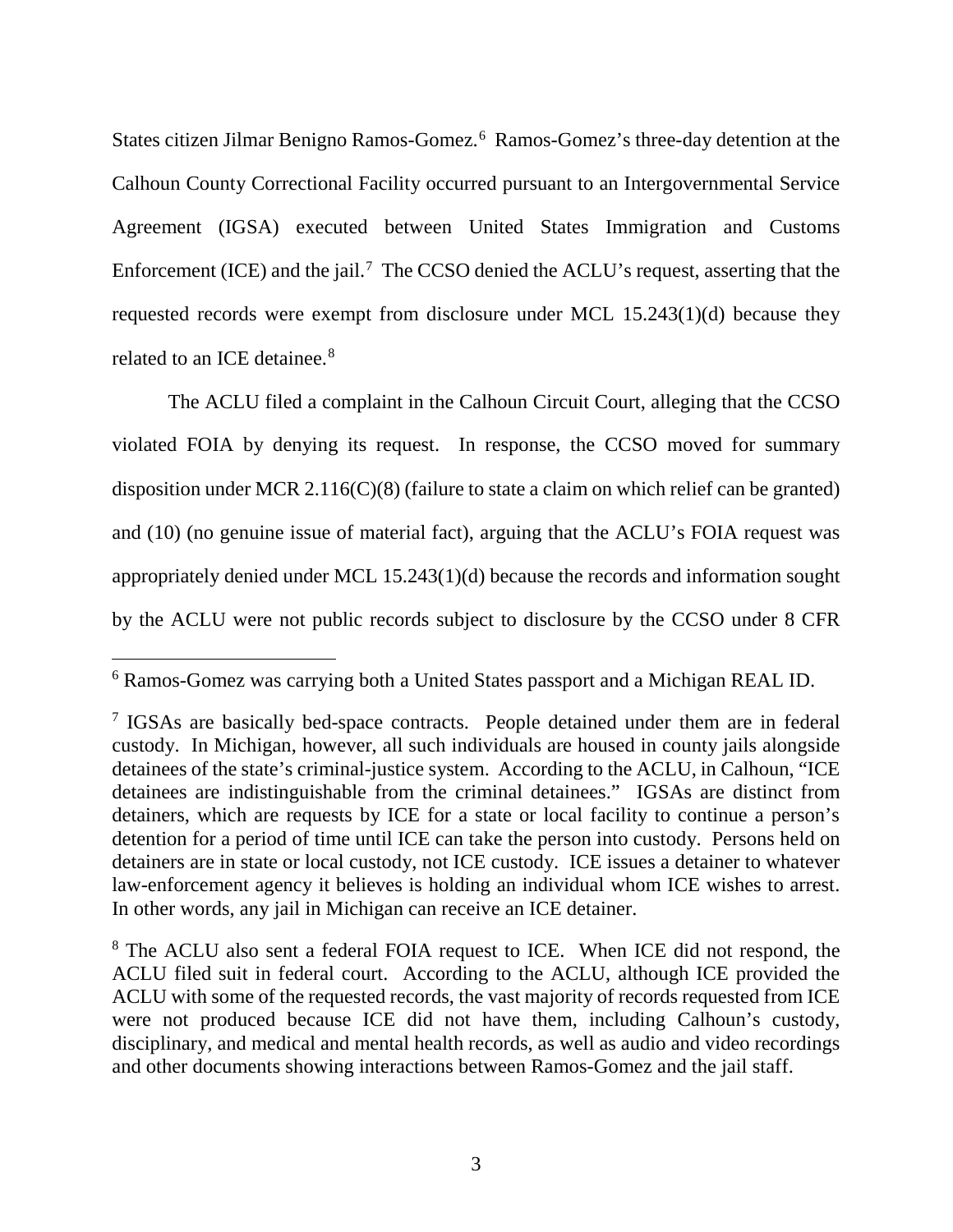States citizen Jilmar Benigno Ramos-Gomez. [6](#page-4-0) Ramos-Gomez's three-day detention at the Calhoun County Correctional Facility occurred pursuant to an Intergovernmental Service Agreement (IGSA) executed between United States Immigration and Customs Enforcement (ICE) and the jail.<sup>[7](#page-4-1)</sup> The CCSO denied the ACLU's request, asserting that the requested records were exempt from disclosure under MCL 15.243(1)(d) because they related to an ICE detainee.<sup>[8](#page-4-2)</sup>

The ACLU filed a complaint in the Calhoun Circuit Court, alleging that the CCSO violated FOIA by denying its request. In response, the CCSO moved for summary disposition under MCR 2.116(C)(8) (failure to state a claim on which relief can be granted) and (10) (no genuine issue of material fact), arguing that the ACLU's FOIA request was appropriately denied under MCL 15.243(1)(d) because the records and information sought by the ACLU were not public records subject to disclosure by the CCSO under 8 CFR

<span id="page-4-0"></span> <sup>6</sup> Ramos-Gomez was carrying both a United States passport and a Michigan REAL ID.

<span id="page-4-1"></span><sup>&</sup>lt;sup>7</sup> IGSAs are basically bed-space contracts. People detained under them are in federal custody. In Michigan, however, all such individuals are housed in county jails alongside detainees of the state's criminal-justice system. According to the ACLU, in Calhoun, "ICE detainees are indistinguishable from the criminal detainees." IGSAs are distinct from detainers, which are requests by ICE for a state or local facility to continue a person's detention for a period of time until ICE can take the person into custody. Persons held on detainers are in state or local custody, not ICE custody. ICE issues a detainer to whatever law-enforcement agency it believes is holding an individual whom ICE wishes to arrest. In other words, any jail in Michigan can receive an ICE detainer.

<span id="page-4-2"></span><sup>&</sup>lt;sup>8</sup> The ACLU also sent a federal FOIA request to ICE. When ICE did not respond, the ACLU filed suit in federal court. According to the ACLU, although ICE provided the ACLU with some of the requested records, the vast majority of records requested from ICE were not produced because ICE did not have them, including Calhoun's custody, disciplinary, and medical and mental health records, as well as audio and video recordings and other documents showing interactions between Ramos-Gomez and the jail staff.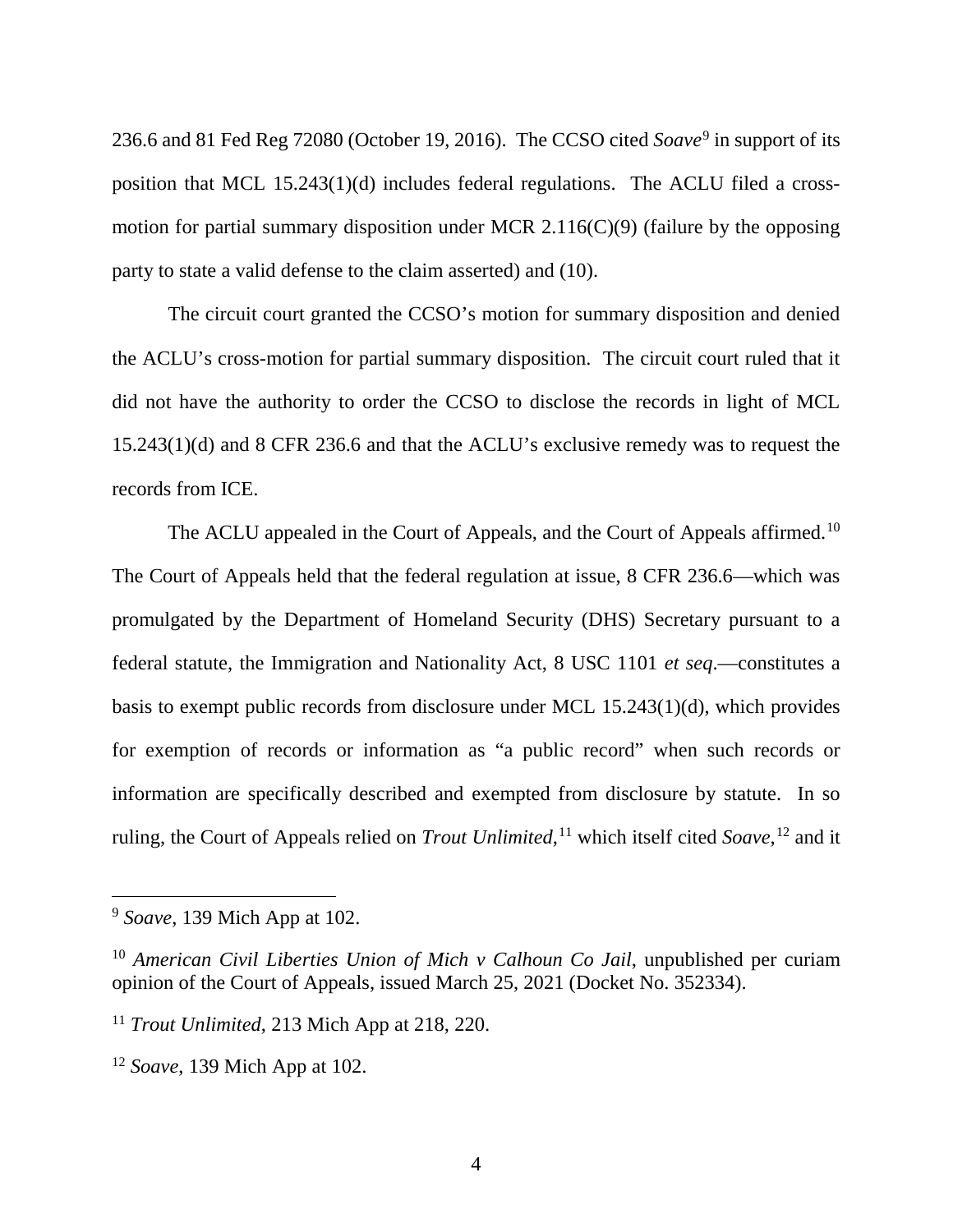236.6 and 81 Fed Reg 72080 (October 19, 2016). The CCSO cited *Soave*[9](#page-5-0) in support of its position that MCL 15.243(1)(d) includes federal regulations. The ACLU filed a crossmotion for partial summary disposition under MCR 2.116(C)(9) (failure by the opposing party to state a valid defense to the claim asserted) and (10).

The circuit court granted the CCSO's motion for summary disposition and denied the ACLU's cross-motion for partial summary disposition. The circuit court ruled that it did not have the authority to order the CCSO to disclose the records in light of MCL 15.243(1)(d) and 8 CFR 236.6 and that the ACLU's exclusive remedy was to request the records from ICE.

The ACLU appealed in the Court of Appeals, and the Court of Appeals affirmed.<sup>[10](#page-5-1)</sup> The Court of Appeals held that the federal regulation at issue, 8 CFR 236.6—which was promulgated by the Department of Homeland Security (DHS) Secretary pursuant to a federal statute, the Immigration and Nationality Act, 8 USC 1101 *et seq*.—constitutes a basis to exempt public records from disclosure under MCL 15.243(1)(d), which provides for exemption of records or information as "a public record" when such records or information are specifically described and exempted from disclosure by statute. In so ruling, the Court of Appeals relied on *Trout Unlimited*, [11](#page-5-2) which itself cited *Soave*, [12](#page-5-3) and it

<span id="page-5-0"></span> <sup>9</sup> *Soave*, 139 Mich App at 102.

<span id="page-5-1"></span><sup>10</sup> *American Civil Liberties Union of Mich v Calhoun Co Jail*, unpublished per curiam opinion of the Court of Appeals, issued March 25, 2021 (Docket No. 352334).

<span id="page-5-2"></span><sup>11</sup> *Trout Unlimited*, 213 Mich App at 218, 220.

<span id="page-5-3"></span><sup>12</sup> *Soave*, 139 Mich App at 102.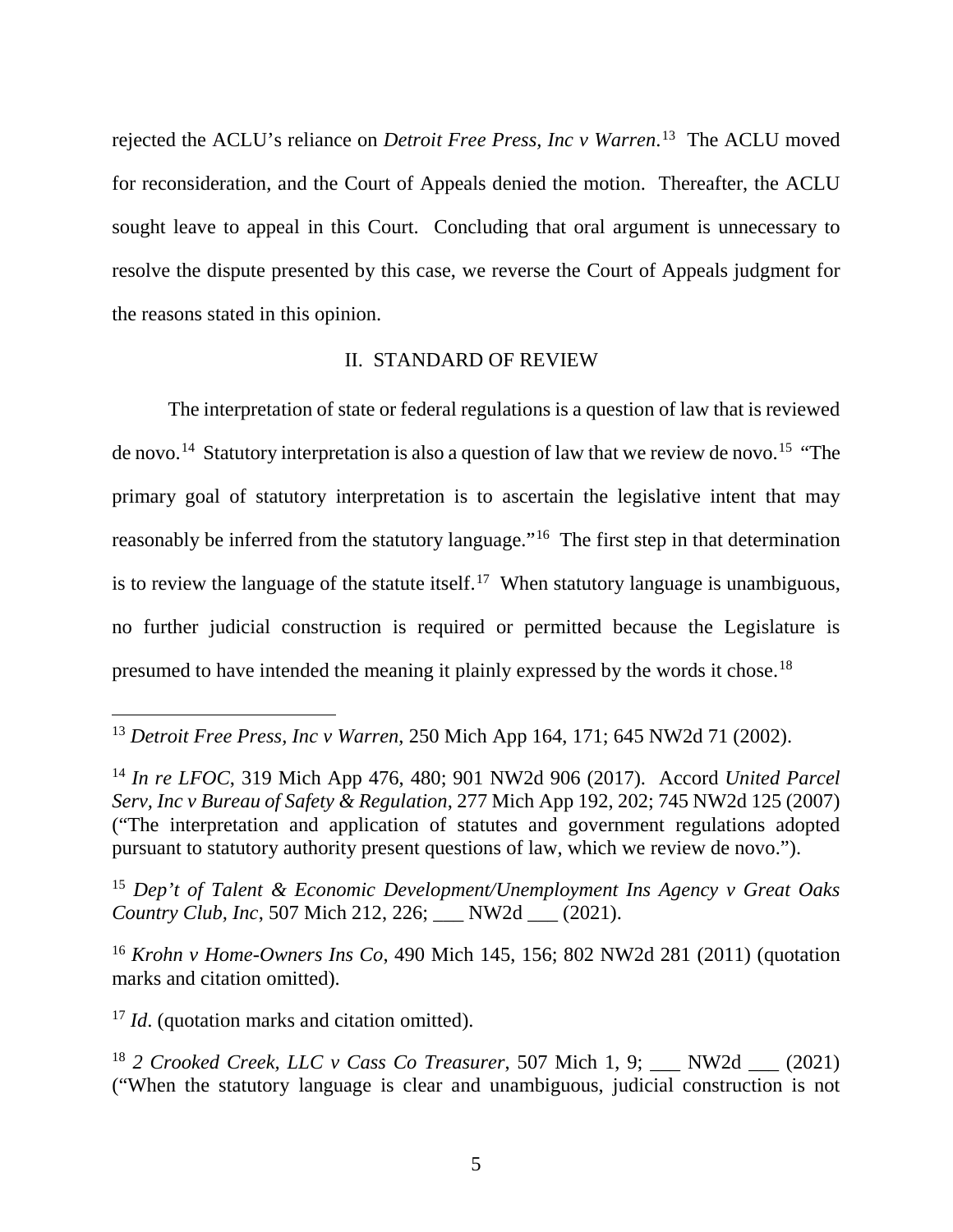rejected the ACLU's reliance on *Detroit Free Press, Inc v Warren*. [13](#page-6-0) The ACLU moved for reconsideration, and the Court of Appeals denied the motion. Thereafter, the ACLU sought leave to appeal in this Court. Concluding that oral argument is unnecessary to resolve the dispute presented by this case, we reverse the Court of Appeals judgment for the reasons stated in this opinion.

### II. STANDARD OF REVIEW

The interpretation of state or federal regulations is a question of law that is reviewed de novo.<sup>[14](#page-6-1)</sup> Statutory interpretation is also a question of law that we review de novo.<sup>[15](#page-6-2)</sup> "The primary goal of statutory interpretation is to ascertain the legislative intent that may reasonably be inferred from the statutory language."[16](#page-6-3) The first step in that determination is to review the language of the statute itself.<sup>17</sup> When statutory language is unambiguous, no further judicial construction is required or permitted because the Legislature is presumed to have intended the meaning it plainly expressed by the words it chose.<sup>[18](#page-6-5)</sup>

<span id="page-6-2"></span><sup>15</sup> *Dep't of Talent & Economic Development/Unemployment Ins Agency v Great Oaks Country Club, Inc*, 507 Mich 212, 226; \_\_\_ NW2d \_\_\_ (2021).

<span id="page-6-3"></span><sup>16</sup> *Krohn v Home-Owners Ins Co*, 490 Mich 145, 156; 802 NW2d 281 (2011) (quotation marks and citation omitted).

<span id="page-6-4"></span><sup>17</sup> *Id.* (quotation marks and citation omitted).

<span id="page-6-0"></span> <sup>13</sup> *Detroit Free Press, Inc v Warren*, 250 Mich App 164, 171; 645 NW2d 71 (2002).

<span id="page-6-1"></span><sup>14</sup> *In re LFOC*, 319 Mich App 476, 480; 901 NW2d 906 (2017). Accord *United Parcel Serv, Inc v Bureau of Safety & Regulation*, 277 Mich App 192, 202; 745 NW2d 125 (2007) ("The interpretation and application of statutes and government regulations adopted pursuant to statutory authority present questions of law, which we review de novo.").

<span id="page-6-5"></span><sup>&</sup>lt;sup>18</sup> *2 Crooked Creek, LLC v Cass Co Treasurer*, 507 Mich 1, 9; NW2d  $(2021)$ ("When the statutory language is clear and unambiguous, judicial construction is not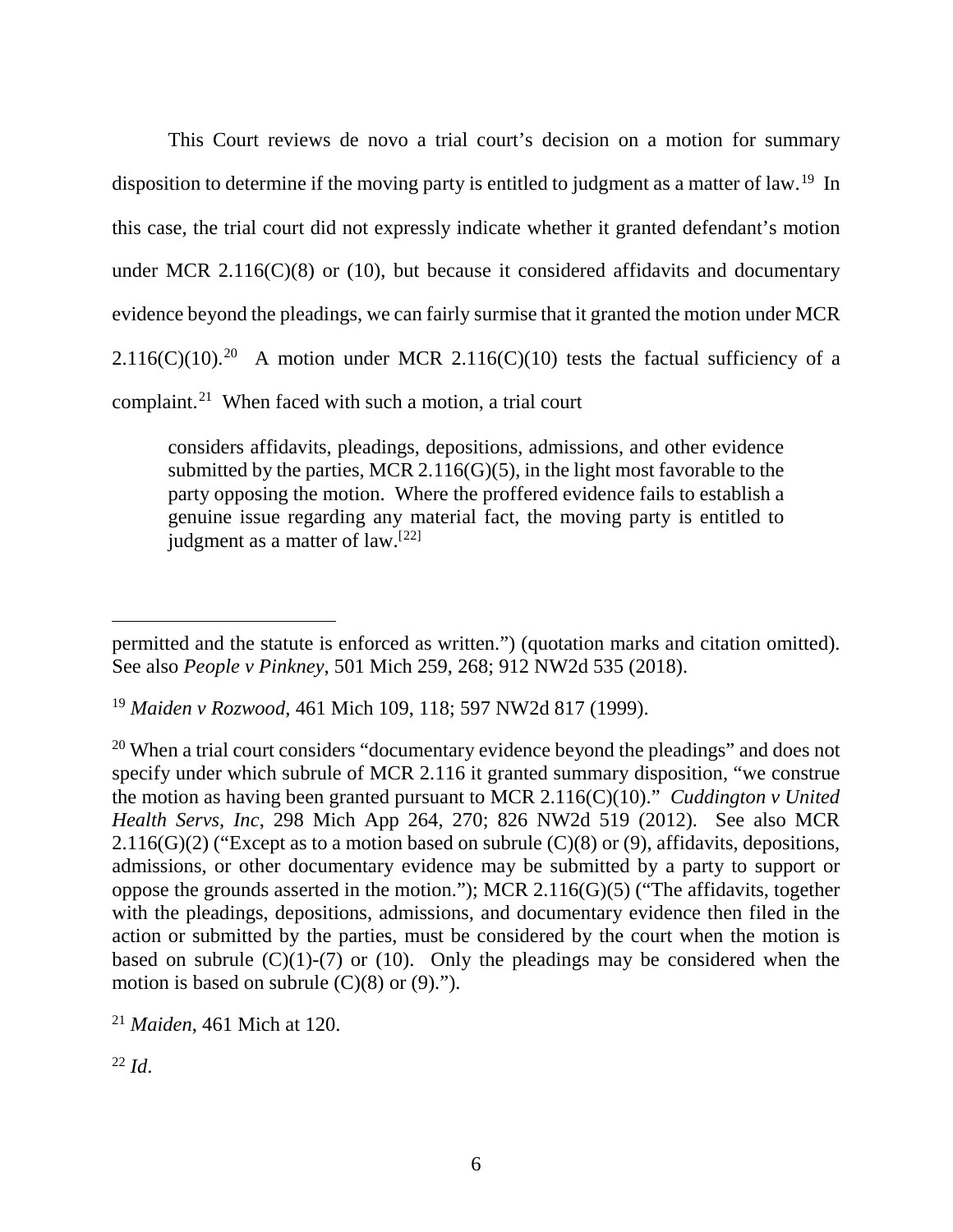This Court reviews de novo a trial court's decision on a motion for summary disposition to determine if the moving party is entitled to judgment as a matter of law.<sup>[19](#page-7-0)</sup> In this case, the trial court did not expressly indicate whether it granted defendant's motion under MCR 2.116(C)(8) or (10), but because it considered affidavits and documentary evidence beyond the pleadings, we can fairly surmise that it granted the motion under MCR 2.116(C)(10).<sup>20</sup> A motion under MCR 2.116(C)(10) tests the factual sufficiency of a complaint. [21](#page-7-2) When faced with such a motion, a trial court

considers affidavits, pleadings, depositions, admissions, and other evidence submitted by the parties, MCR  $2.116(G)(5)$ , in the light most favorable to the party opposing the motion. Where the proffered evidence fails to establish a genuine issue regarding any material fact, the moving party is entitled to judgment as a matter of law.<sup>[[22\]](#page-7-3)</sup>

 $\overline{a}$ permitted and the statute is enforced as written.") (quotation marks and citation omitted). See also *People v Pinkney*, 501 Mich 259, 268; 912 NW2d 535 (2018).

<span id="page-7-0"></span><sup>19</sup> *Maiden v Rozwood*, 461 Mich 109, 118; 597 NW2d 817 (1999).

<span id="page-7-1"></span> $20$  When a trial court considers "documentary evidence beyond the pleadings" and does not specify under which subrule of MCR 2.116 it granted summary disposition, "we construe the motion as having been granted pursuant to MCR 2.116(C)(10)." *Cuddington v United Health Servs, Inc*, 298 Mich App 264, 270; 826 NW2d 519 (2012). See also MCR 2.116(G)(2) ("Except as to a motion based on subrule  $(C)(8)$  or (9), affidavits, depositions, admissions, or other documentary evidence may be submitted by a party to support or oppose the grounds asserted in the motion."); MCR 2.116(G)(5) ("The affidavits, together with the pleadings, depositions, admissions, and documentary evidence then filed in the action or submitted by the parties, must be considered by the court when the motion is based on subrule  $(C)(1)-(7)$  or (10). Only the pleadings may be considered when the motion is based on subrule  $(C)(8)$  or  $(9)$ .").

<span id="page-7-2"></span><sup>21</sup> *Maiden*, 461 Mich at 120.

<span id="page-7-3"></span> $^{22}$  *Id.*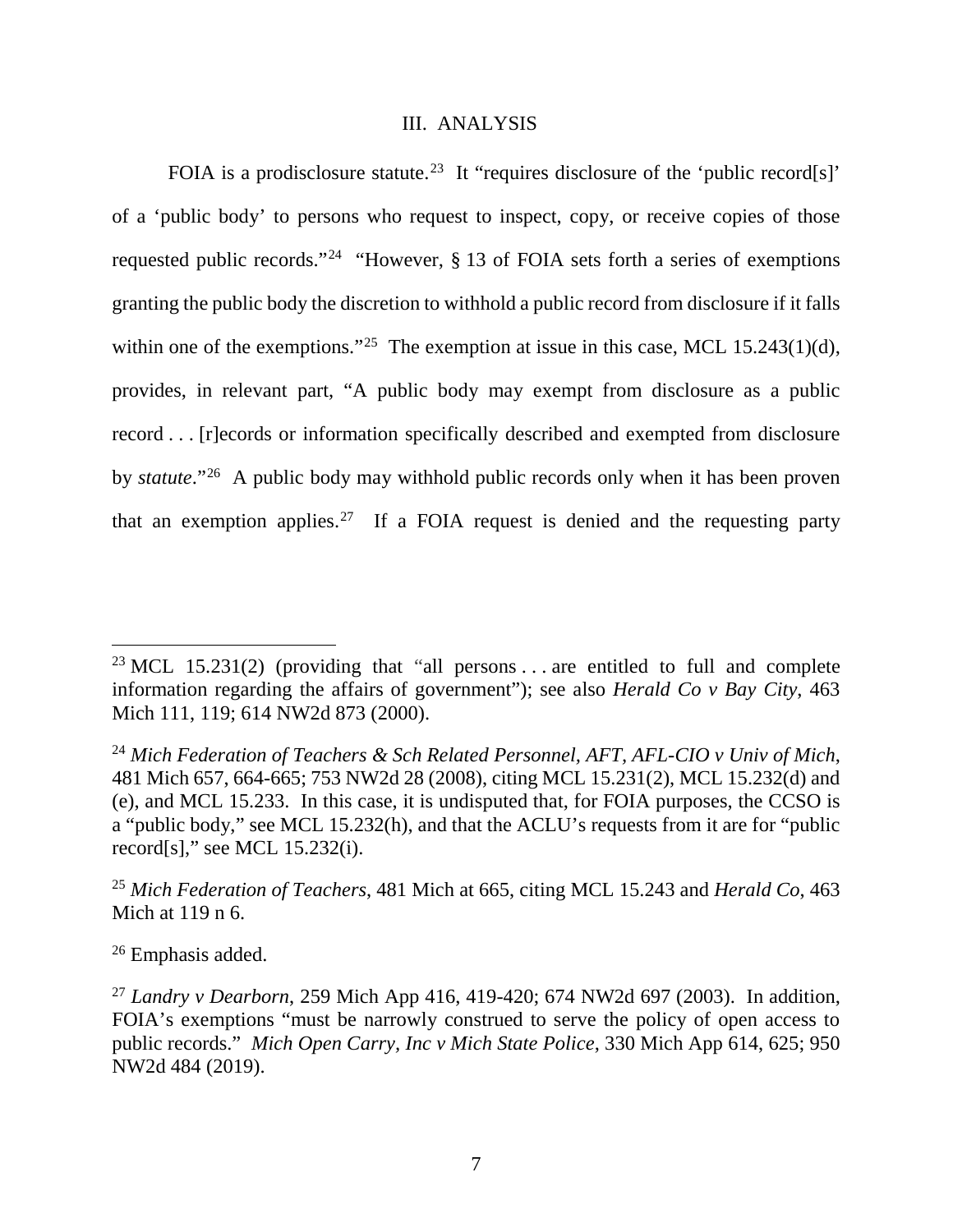#### III. ANALYSIS

FOIA is a prodisclosure statute.<sup>[23](#page-8-0)</sup> It "requires disclosure of the 'public record[s]' of a 'public body' to persons who request to inspect, copy, or receive copies of those requested public records."[24](#page-8-1) "However, § 13 of FOIA sets forth a series of exemptions granting the public body the discretion to withhold a public record from disclosure if it falls within one of the exemptions."<sup>[25](#page-8-2)</sup> The exemption at issue in this case, MCL 15.243(1)(d), provides, in relevant part, "A public body may exempt from disclosure as a public record . . . [r]ecords or information specifically described and exempted from disclosure by *statute*."[26](#page-8-3) A public body may withhold public records only when it has been proven that an exemption applies.<sup>[27](#page-8-4)</sup> If a FOIA request is denied and the requesting party

<span id="page-8-3"></span><sup>26</sup> Emphasis added.

<span id="page-8-0"></span><sup>&</sup>lt;sup>23</sup> MCL 15.231(2) (providing that "all persons ... are entitled to full and complete information regarding the affairs of government"); see also *Herald Co v Bay City*, 463 Mich 111, 119; 614 NW2d 873 (2000).

<span id="page-8-1"></span><sup>24</sup> *Mich Federation of Teachers & Sch Related Personnel, AFT, AFL-CIO v Univ of Mich*, 481 Mich 657, 664-665; 753 NW2d 28 (2008), citing MCL 15.231(2), MCL 15.232(d) and (e), and MCL 15.233. In this case, it is undisputed that, for FOIA purposes, the CCSO is a "public body," see MCL 15.232(h), and that the ACLU's requests from it are for "public record[s]," see MCL 15.232(i).

<span id="page-8-2"></span><sup>25</sup> *Mich Federation of Teachers*, 481 Mich at 665, citing MCL 15.243 and *Herald Co*, 463 Mich at 119 n 6.

<span id="page-8-4"></span><sup>27</sup> *Landry v Dearborn*, 259 Mich App 416, 419-420; 674 NW2d 697 (2003). In addition, FOIA's exemptions "must be narrowly construed to serve the policy of open access to public records." *Mich Open Carry, Inc v Mich State Police*, 330 Mich App 614, 625; 950 NW2d 484 (2019).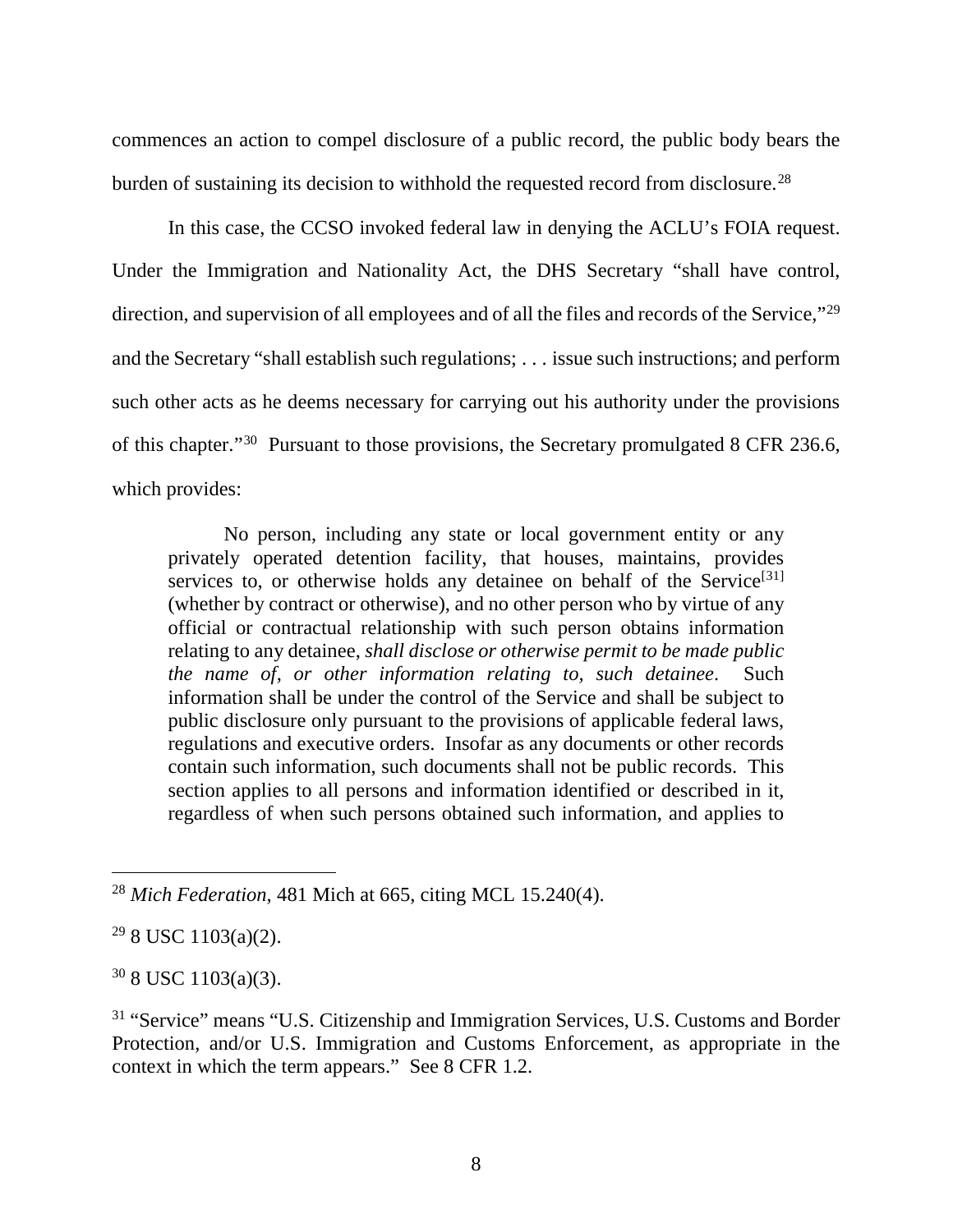commences an action to compel disclosure of a public record, the public body bears the burden of sustaining its decision to withhold the requested record from disclosure.<sup>[28](#page-9-0)</sup>

In this case, the CCSO invoked federal law in denying the ACLU's FOIA request. Under the Immigration and Nationality Act, the DHS Secretary "shall have control, direction, and supervision of all employees and of all the files and records of the Service,"<sup>[29](#page-9-1)</sup> and the Secretary "shall establish such regulations; . . . issue such instructions; and perform such other acts as he deems necessary for carrying out his authority under the provisions of this chapter."[30](#page-9-2) Pursuant to those provisions, the Secretary promulgated 8 CFR 236.6, which provides:

No person, including any state or local government entity or any privately operated detention facility, that houses, maintains, provides services to, or otherwise holds any detainee on behalf of the Service<sup>[\[31](#page-9-3)]</sup> (whether by contract or otherwise), and no other person who by virtue of any official or contractual relationship with such person obtains information relating to any detainee, *shall disclose or otherwise permit to be made public the name of, or other information relating to, such detainee*. Such information shall be under the control of the Service and shall be subject to public disclosure only pursuant to the provisions of applicable federal laws, regulations and executive orders. Insofar as any documents or other records contain such information, such documents shall not be public records. This section applies to all persons and information identified or described in it, regardless of when such persons obtained such information, and applies to

<span id="page-9-2"></span> $30$  8 USC 1103(a)(3).

<span id="page-9-3"></span><sup>31</sup> "Service" means "U.S. Citizenship and Immigration Services, U.S. Customs and Border Protection, and/or U.S. Immigration and Customs Enforcement, as appropriate in the context in which the term appears." See 8 CFR 1.2.

<span id="page-9-0"></span> <sup>28</sup> *Mich Federation*, 481 Mich at 665, citing MCL 15.240(4).

<span id="page-9-1"></span> $29$  8 USC 1103(a)(2).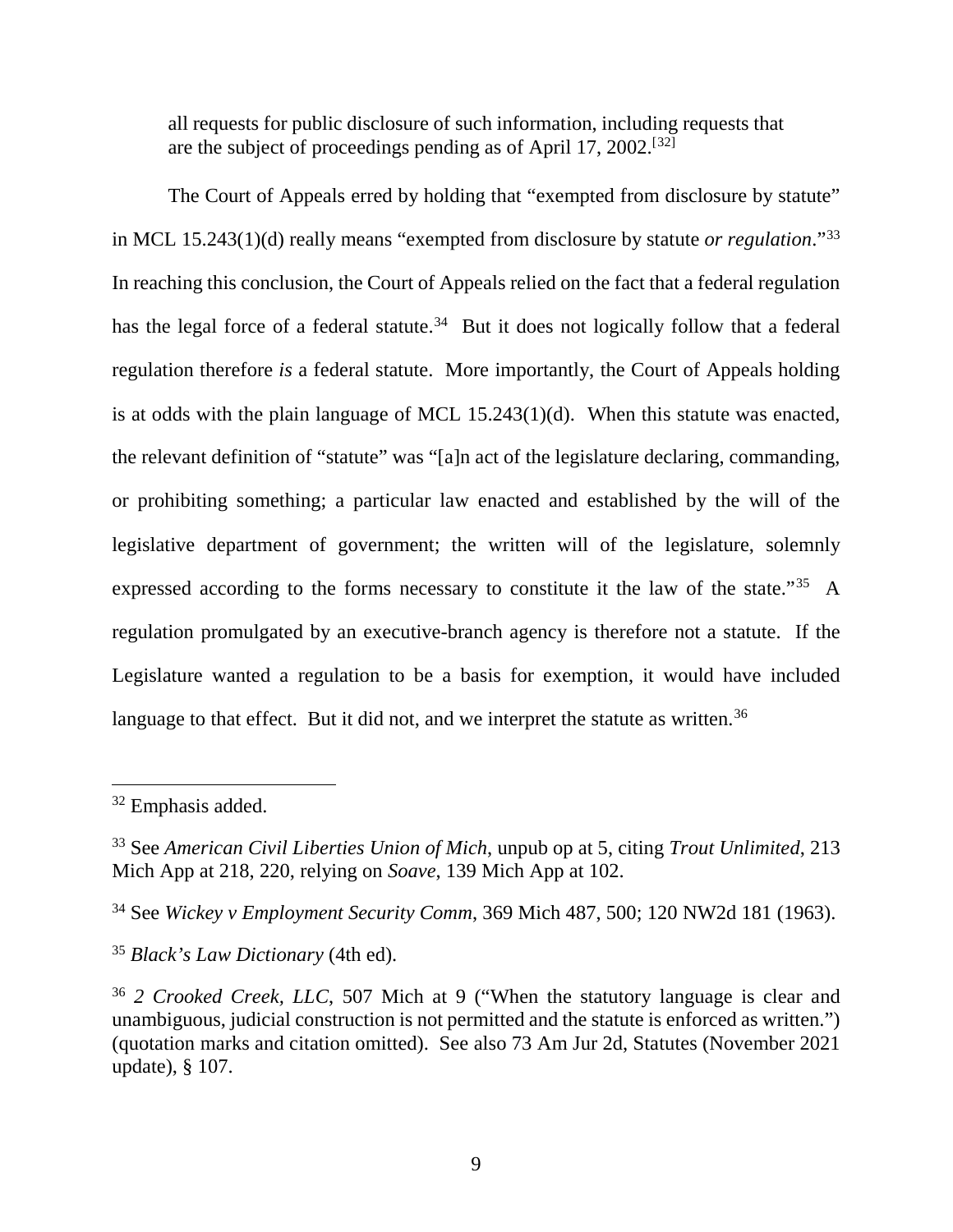all requests for public disclosure of such information, including requests that are the subject of proceedings pending as of April 17, 2002.[[32](#page-10-0)]

The Court of Appeals erred by holding that "exempted from disclosure by statute" in MCL 15.243(1)(d) really means "exempted from disclosure by statute *or regulation*."[33](#page-10-1) In reaching this conclusion, the Court of Appeals relied on the fact that a federal regulation has the legal force of a federal statute.<sup>34</sup> But it does not logically follow that a federal regulation therefore *is* a federal statute. More importantly, the Court of Appeals holding is at odds with the plain language of MCL 15.243(1)(d). When this statute was enacted, the relevant definition of "statute" was "[a]n act of the legislature declaring, commanding, or prohibiting something; a particular law enacted and established by the will of the legislative department of government; the written will of the legislature, solemnly expressed according to the forms necessary to constitute it the law of the state."[35](#page-10-3) A regulation promulgated by an executive-branch agency is therefore not a statute. If the Legislature wanted a regulation to be a basis for exemption, it would have included language to that effect. But it did not, and we interpret the statute as written.<sup>[36](#page-10-4)</sup>

<span id="page-10-0"></span> <sup>32</sup> Emphasis added.

<span id="page-10-1"></span><sup>33</sup> See *American Civil Liberties Union of Mich*, unpub op at 5, citing *Trout Unlimited*, 213 Mich App at 218, 220, relying on *Soave*, 139 Mich App at 102.

<span id="page-10-2"></span><sup>34</sup> See *Wickey v Employment Security Comm*, 369 Mich 487, 500; 120 NW2d 181 (1963).

<span id="page-10-3"></span><sup>35</sup> *Black's Law Dictionary* (4th ed).

<span id="page-10-4"></span><sup>36</sup> *2 Crooked Creek, LLC*, 507 Mich at 9 ("When the statutory language is clear and unambiguous, judicial construction is not permitted and the statute is enforced as written.") (quotation marks and citation omitted). See also 73 Am Jur 2d, Statutes (November 2021 update), § 107.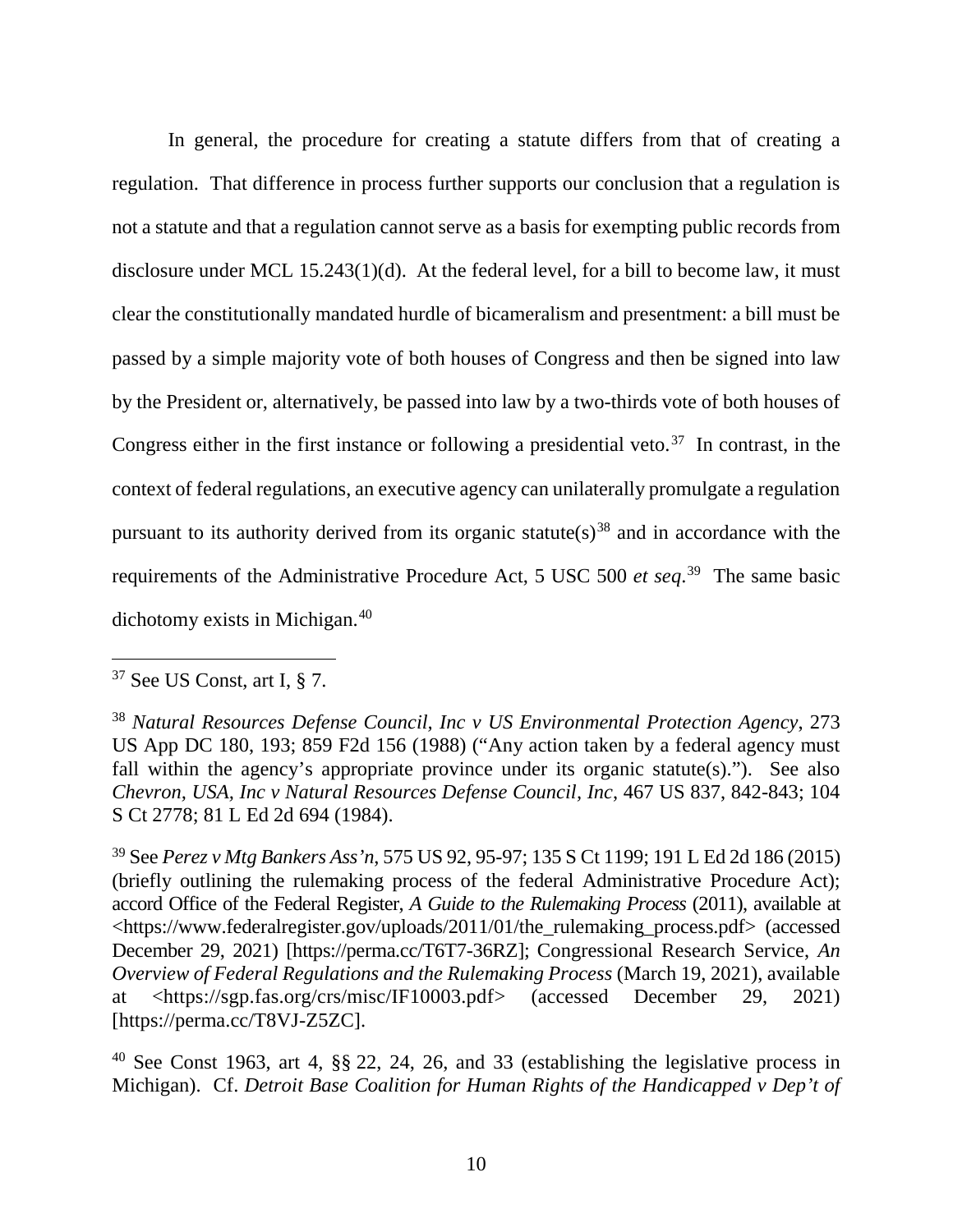In general, the procedure for creating a statute differs from that of creating a regulation. That difference in process further supports our conclusion that a regulation is not a statute and that a regulation cannot serve as a basis for exempting public records from disclosure under MCL 15.243(1)(d). At the federal level, for a bill to become law, it must clear the constitutionally mandated hurdle of bicameralism and presentment: a bill must be passed by a simple majority vote of both houses of Congress and then be signed into law by the President or, alternatively, be passed into law by a two-thirds vote of both houses of Congress either in the first instance or following a presidential veto.<sup>[37](#page-11-0)</sup> In contrast, in the context of federal regulations, an executive agency can unilaterally promulgate a regulation pursuant to its authority derived from its organic statute(s)<sup>[38](#page-11-1)</sup> and in accordance with the requirements of the Administrative Procedure Act, 5 USC 500 *et seq*. [39](#page-11-2) The same basic dichotomy exists in Michigan.[40](#page-11-3)

<span id="page-11-0"></span> <sup>37</sup> See US Const, art I, § 7.

<span id="page-11-1"></span><sup>38</sup> *Natural Resources Defense Council, Inc v US Environmental Protection Agency*, 273 US App DC 180, 193; 859 F2d 156 (1988) ("Any action taken by a federal agency must fall within the agency's appropriate province under its organic statute(s)."). See also *Chevron, USA, Inc v Natural Resources Defense Council, Inc*, 467 US 837, 842-843; 104 S Ct 2778; 81 L Ed 2d 694 (1984).

<span id="page-11-2"></span><sup>39</sup> See *Perez v Mtg Bankers Ass'n*, 575 US 92, 95-97; 135 S Ct 1199; 191 L Ed 2d 186 (2015) (briefly outlining the rulemaking process of the federal Administrative Procedure Act); accord Office of the Federal Register, *A Guide to the Rulemaking Process* (2011), available at <https://www.federalregister.gov/uploads/2011/01/the\_rulemaking\_process.pdf> (accessed December 29, 2021) [https://perma.cc/T6T7-36RZ]; Congressional Research Service, *An Overview of Federal Regulations and the Rulemaking Process* (March 19, 2021), available at <https://sgp.fas.org/crs/misc/IF10003.pdf> (accessed December 29, 2021) [https://perma.cc/T8VJ-Z5ZC].

<span id="page-11-3"></span><sup>&</sup>lt;sup>40</sup> See Const 1963, art 4,  $\S$  $\S$  22, 24, 26, and 33 (establishing the legislative process in Michigan). Cf. *Detroit Base Coalition for Human Rights of the Handicapped v Dep't of*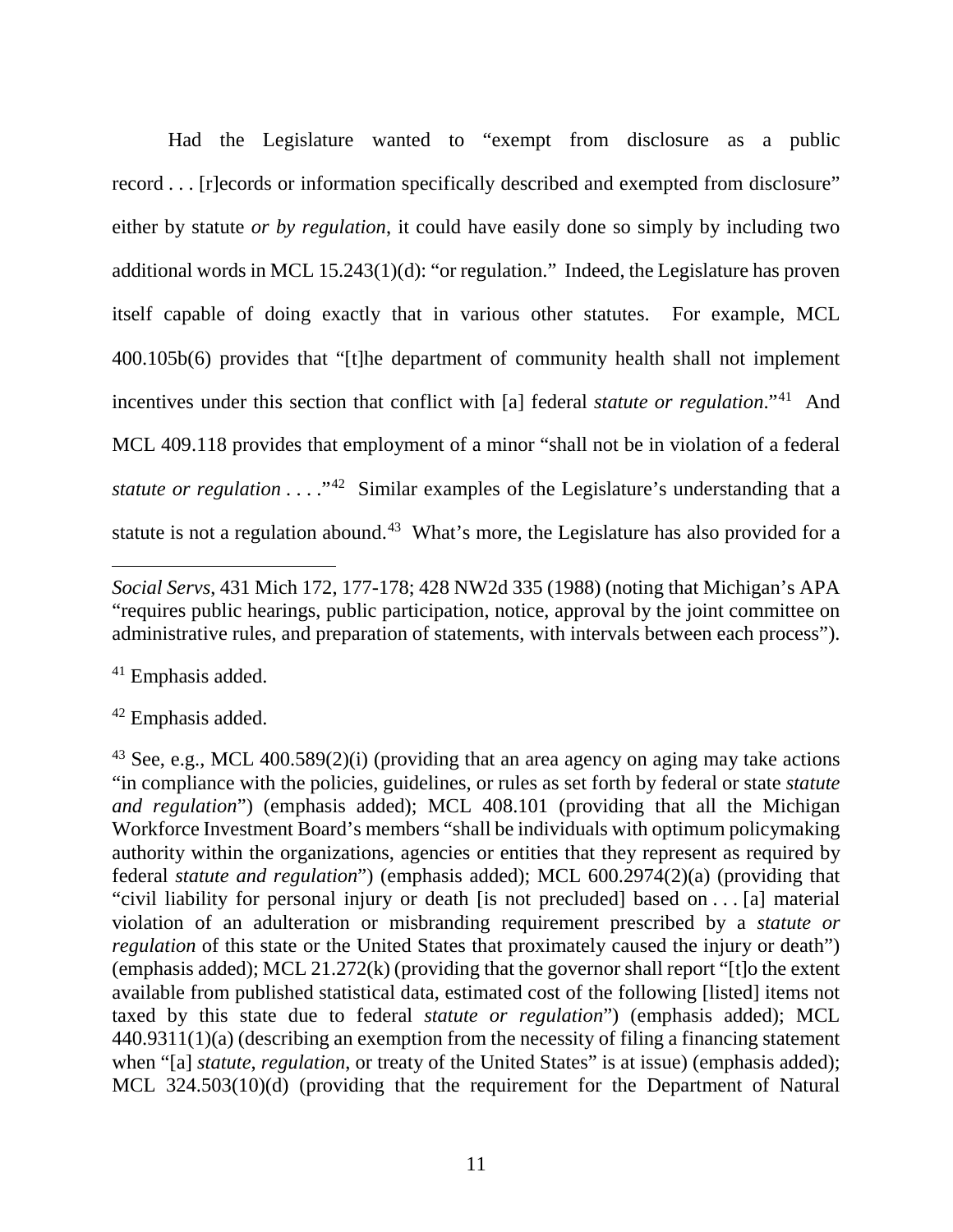Had the Legislature wanted to "exempt from disclosure as a public record . . . [r]ecords or information specifically described and exempted from disclosure" either by statute *or by regulation*, it could have easily done so simply by including two additional words in MCL 15.243(1)(d): "or regulation." Indeed, the Legislature has proven itself capable of doing exactly that in various other statutes. For example, MCL 400.105b(6) provides that "[t]he department of community health shall not implement incentives under this section that conflict with [a] federal *statute or regulation*."[41](#page-12-0) And MCL 409.118 provides that employment of a minor "shall not be in violation of a federal *statute or regulation* . . . .<sup>"[42](#page-12-1)</sup> Similar examples of the Legislature's understanding that a statute is not a regulation abound.<sup>43</sup> What's more, the Legislature has also provided for a

<span id="page-12-0"></span><sup>41</sup> Emphasis added.

<span id="page-12-1"></span><sup>42</sup> Emphasis added.

<span id="page-12-2"></span><sup>43</sup> See, e.g., MCL 400.589(2)(i) (providing that an area agency on aging may take actions "in compliance with the policies, guidelines, or rules as set forth by federal or state *statute and regulation*") (emphasis added); MCL 408.101 (providing that all the Michigan Workforce Investment Board's members "shall be individuals with optimum policymaking authority within the organizations, agencies or entities that they represent as required by federal *statute and regulation*") (emphasis added); MCL 600.2974(2)(a) (providing that "civil liability for personal injury or death [is not precluded] based on . . . [a] material violation of an adulteration or misbranding requirement prescribed by a *statute or regulation* of this state or the United States that proximately caused the injury or death") (emphasis added); MCL 21.272(k) (providing that the governor shall report "[t]o the extent available from published statistical data, estimated cost of the following [listed] items not taxed by this state due to federal *statute or regulation*") (emphasis added); MCL 440.9311(1)(a) (describing an exemption from the necessity of filing a financing statement when "[a] *statute*, *regulation*, or treaty of the United States" is at issue) (emphasis added); MCL 324.503(10)(d) (providing that the requirement for the Department of Natural

 $\overline{a}$ *Social Servs*, 431 Mich 172, 177-178; 428 NW2d 335 (1988) (noting that Michigan's APA "requires public hearings, public participation, notice, approval by the joint committee on administrative rules, and preparation of statements, with intervals between each process").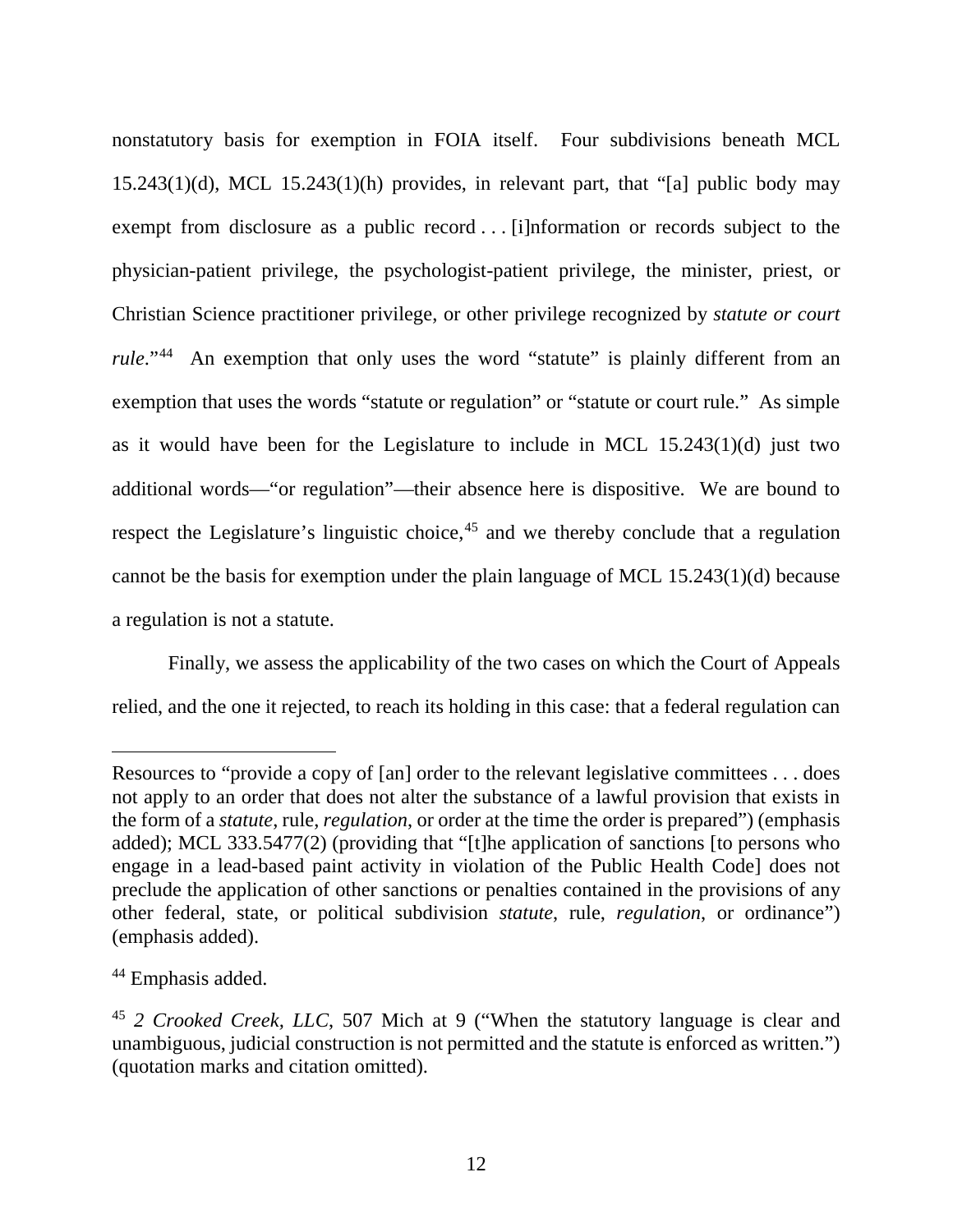nonstatutory basis for exemption in FOIA itself. Four subdivisions beneath MCL 15.243(1)(d), MCL 15.243(1)(h) provides, in relevant part, that "[a] public body may exempt from disclosure as a public record . . . [i]nformation or records subject to the physician-patient privilege, the psychologist-patient privilege, the minister, priest, or Christian Science practitioner privilege, or other privilege recognized by *statute or court rule*."<sup>[44](#page-13-0)</sup> An exemption that only uses the word "statute" is plainly different from an exemption that uses the words "statute or regulation" or "statute or court rule." As simple as it would have been for the Legislature to include in MCL 15.243(1)(d) just two additional words—"or regulation"—their absence here is dispositive. We are bound to respect the Legislature's linguistic choice,<sup>[45](#page-13-1)</sup> and we thereby conclude that a regulation cannot be the basis for exemption under the plain language of MCL 15.243(1)(d) because a regulation is not a statute.

Finally, we assess the applicability of the two cases on which the Court of Appeals relied, and the one it rejected, to reach its holding in this case: that a federal regulation can

 $\overline{a}$ 

Resources to "provide a copy of [an] order to the relevant legislative committees . . . does not apply to an order that does not alter the substance of a lawful provision that exists in the form of a *statute*, rule, *regulation*, or order at the time the order is prepared") (emphasis added); MCL 333.5477(2) (providing that "[t]he application of sanctions [to persons who engage in a lead-based paint activity in violation of the Public Health Code] does not preclude the application of other sanctions or penalties contained in the provisions of any other federal, state, or political subdivision *statute*, rule, *regulation*, or ordinance") (emphasis added).

<span id="page-13-0"></span><sup>44</sup> Emphasis added.

<span id="page-13-1"></span><sup>45</sup> *2 Crooked Creek, LLC*, 507 Mich at 9 ("When the statutory language is clear and unambiguous, judicial construction is not permitted and the statute is enforced as written.") (quotation marks and citation omitted).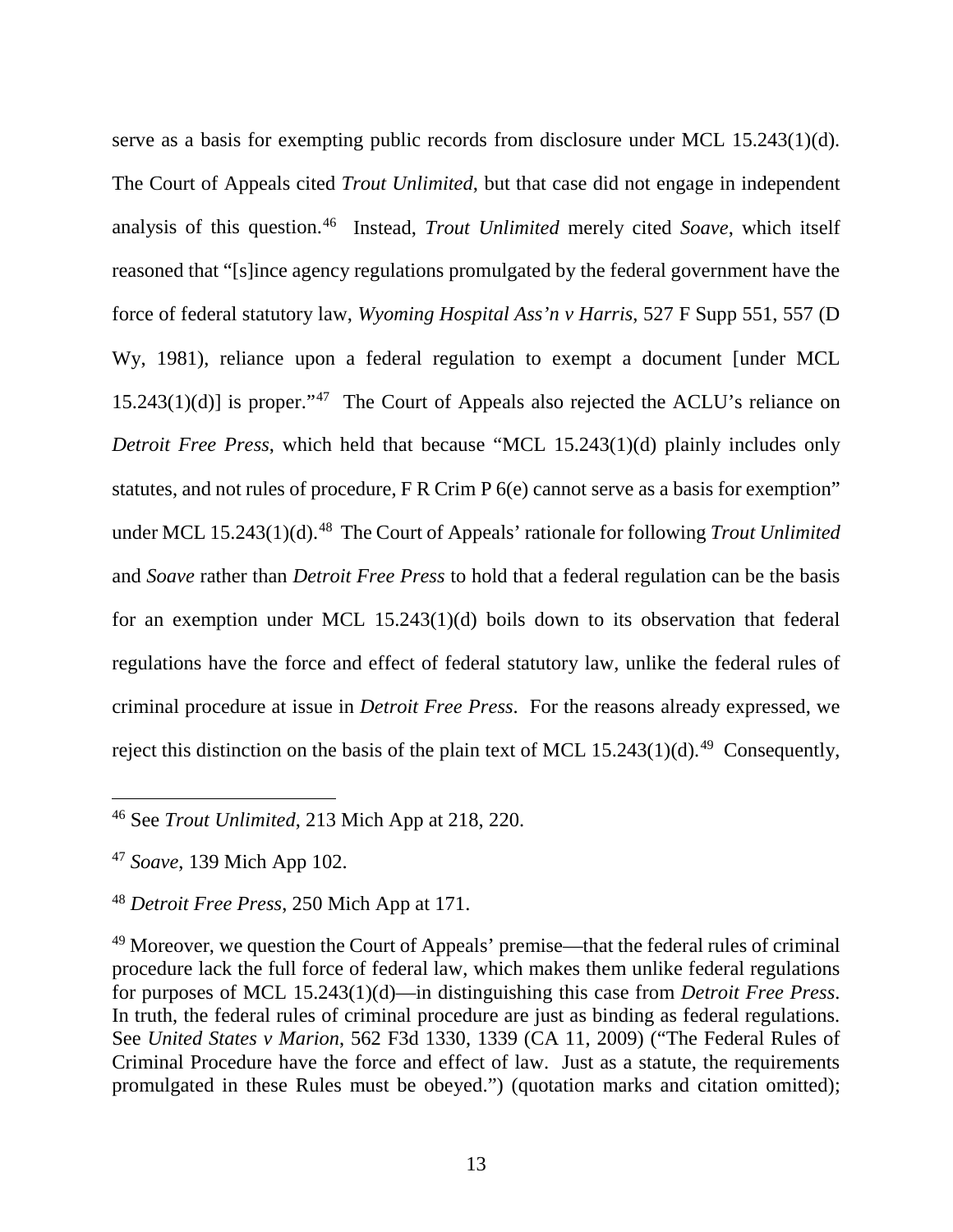serve as a basis for exempting public records from disclosure under MCL 15.243(1)(d). The Court of Appeals cited *Trout Unlimited*, but that case did not engage in independent analysis of this question.[46](#page-14-0) Instead, *Trout Unlimited* merely cited *Soave*, which itself reasoned that "[s]ince agency regulations promulgated by the federal government have the force of federal statutory law, *Wyoming Hospital Ass'n v Harris*, 527 F Supp 551, 557 (D Wy, 1981), reliance upon a federal regulation to exempt a document [under MCL 15.243(1)(d)] is proper."<sup>47</sup> The Court of Appeals also rejected the ACLU's reliance on *Detroit Free Press*, which held that because "MCL 15.243(1)(d) plainly includes only statutes, and not rules of procedure, F R Crim P 6(e) cannot serve as a basis for exemption" under MCL 15.243(1)(d). [48](#page-14-2) The Court of Appeals' rationale for following *Trout Unlimited* and *Soave* rather than *Detroit Free Press* to hold that a federal regulation can be the basis for an exemption under MCL 15.243(1)(d) boils down to its observation that federal regulations have the force and effect of federal statutory law, unlike the federal rules of criminal procedure at issue in *Detroit Free Press*. For the reasons already expressed, we reject this distinction on the basis of the plain text of MCL  $15.243(1)(d)$ .<sup>49</sup> Consequently,

<span id="page-14-0"></span> <sup>46</sup> See *Trout Unlimited*, 213 Mich App at 218, 220.

<span id="page-14-1"></span><sup>47</sup> *Soave*, 139 Mich App 102.

<span id="page-14-2"></span><sup>48</sup> *Detroit Free Press*, 250 Mich App at 171.

<span id="page-14-3"></span><sup>49</sup> Moreover, we question the Court of Appeals' premise—that the federal rules of criminal procedure lack the full force of federal law, which makes them unlike federal regulations for purposes of MCL 15.243(1)(d)—in distinguishing this case from *Detroit Free Press*. In truth, the federal rules of criminal procedure are just as binding as federal regulations. See *United States v Marion*, 562 F3d 1330, 1339 (CA 11, 2009) ("The Federal Rules of Criminal Procedure have the force and effect of law. Just as a statute, the requirements promulgated in these Rules must be obeyed.") (quotation marks and citation omitted);